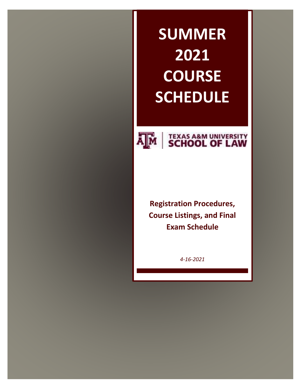# **SUMMER 2021 COURSE SCHEDULE**



# **AM SCHOOL OF LAW**

**Registration Procedures, Course Listings, and Final Exam Schedule**

*4-16-2021*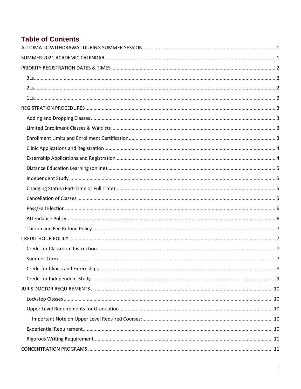## **Table of Contents**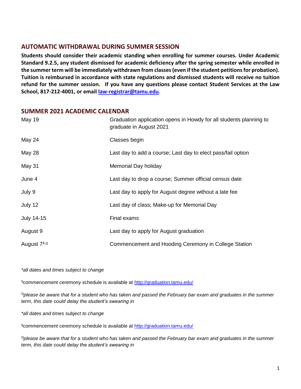## <span id="page-3-0"></span>**AUTOMATIC WITHDRAWAL DURING SUMMER SESSION**

**Students should consider their academic standing when enrolling for summer courses. Under Academic Standard 9.2.5, any student dismissed for academic deficiency after the spring semester while enrolled in the summer term will be immediately withdrawn from classes (even if the student petitions for probation). Tuition is reimbursed in accordance with state regulations and dismissed students will receive no tuition refund for the summer session. If you have any questions please contact Student Services at the Law School, 817-212-4001, or emai[l law-registrar@tamu.edu](mailto:law-registrar@tamu.edu).**

## <span id="page-3-1"></span>**SUMMER 2021 ACADEMIC CALENDAR**

| <b>May 19</b>          | Graduation application opens in Howdy for all students planning to<br>graduate in August 2021 |
|------------------------|-----------------------------------------------------------------------------------------------|
| May 24                 | Classes begin                                                                                 |
| May 28                 | Last day to add a course; Last day to elect pass/fail option                                  |
| May 31                 | Memorial Day holiday                                                                          |
| June 4                 | Last day to drop a course; Summer official census date                                        |
| July 9                 | Last day to apply for August degree without a late fee                                        |
| July 12                | Last day of class; Make-up for Memorial Day                                                   |
| July 14-15             | Final exams                                                                                   |
| August 9               | Last day to apply for August graduation                                                       |
| August $7^{\S,\Omega}$ | Commencement and Hooding Ceremony in College Station                                          |

*\*all dates and times subject to change*

§commencement ceremony schedule is available at<http://graduation.tamu.edu/>

*<sup>Ω</sup>please be aware that for a student who has taken and passed the February bar exam and graduates in the summer term, this date could delay the student's swearing in*

*\*all dates and times subject to change*

§commencement ceremony schedule is available at<http://graduation.tamu.edu/>

*<sup>Ω</sup>please be aware that for a student who has taken and passed the February bar exam and graduates in the summer term, this date could delay the student's swearing in*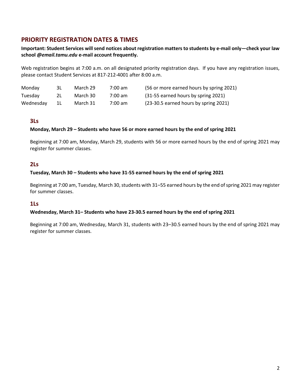## <span id="page-4-0"></span>**PRIORITY REGISTRATION DATES & TIMES**

**Important: Student Services will send notices about registration matters to students by e-mail only—check your law school** *@email.tamu.edu* **e-mail account frequently.**

Web registration begins at 7:00 a.m. on all designated priority registration days. If you have any registration issues, please contact Student Services at 817-212-4001 after 8:00 a.m.

| Monday    | 3L.   | March 29 | 7:00 am | (56 or more earned hours by spring 2021) |
|-----------|-------|----------|---------|------------------------------------------|
| Tuesday   | 2L -  | March 30 | 7:00 am | (31-55 earned hours by spring 2021)      |
| Wednesday | - 1 L | March 31 | 7:00 am | (23-30.5 earned hours by spring 2021)    |

#### <span id="page-4-1"></span>**3Ls**

#### **Monday, March 29 – Students who have 56 or more earned hours by the end of spring 2021**

Beginning at 7:00 am, Monday, March 29, students with 56 or more earned hours by the end of spring 2021 may register for summer classes.

#### <span id="page-4-2"></span>**2Ls**

#### **Tuesday, March 30 – Students who have 31-55 earned hours by the end of spring 2021**

Beginning at 7:00 am, Tuesday, March 30, students with 31–55 earned hours by the end of spring 2021 may register for summer classes.

#### <span id="page-4-3"></span>**1Ls**

#### **Wednesday, March 31– Students who have 23-30.5 earned hours by the end of spring 2021**

Beginning at 7:00 am, Wednesday, March 31, students with 23–30.5 earned hours by the end of spring 2021 may register for summer classes.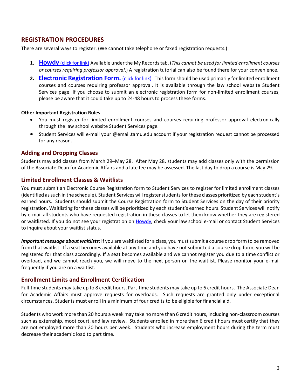## <span id="page-5-0"></span>**REGISTRATION PROCEDURES**

There are several ways to register. (We cannot take telephone or faxed registration requests.)

- **1. Howdy** [\(click for link\)](http://howdy.tamu.edu/) Available under the My Records tab. (*This cannot be used for limited enrollment courses or courses requiring professor approval*.) A registration tutorial can also be found there for your convenience.
- 2. **Electronic Registration Form.** (click for link) This form should be used primarily for limited enrollment courses and courses requiring professor approval. It is available through the law school website Student Services page. If you choose to submit an electronic registration form for non-limited enrollment courses, please be aware that it could take up to 24-48 hours to process these forms.

#### **Other Important Registration Rules**

- You must register for limited enrollment courses and courses requiring professor approval electronically through the law school website Student Services page.
- Student Services will e-mail your @email.tamu.edu account if your registration request cannot be processed for any reason.

#### <span id="page-5-1"></span>**Adding and Dropping Classes**

Students may add classes from March 29–May 28. After May 28, students may add classes only with the permission of the Associate Dean for Academic Affairs and a late fee may be assessed. The last day to drop a course is May 29.

#### <span id="page-5-2"></span>**Limited Enrollment Classes & Waitlists**

You must submit an Electronic Course Registration form to Student Services to register for limited enrollment classes (identified as such in the schedule). Student Services will register students for these classes prioritized by each student's earned hours. Students should submit the Course Registration form to Student Services on the day of their priority registration. Waitlisting for these classes will be prioritized by each student's earned hours. Student Services will notify by e-mail all students who have requested registration in these classes to let them know whether they are registered or waitlisted. If you do not see your registration on [Howdy,](https://howdy.tamu.edu/) check your law school e-mail or contact Student Services to inquire about your waitlist status.

*Important message about waitlists:* If you are waitlisted for a class, you must submit a course drop form to be removed from that waitlist. If a seat becomes available at any time and you have not submitted a course drop form, you will be registered for that class accordingly. If a seat becomes available and we cannot register you due to a time conflict or overload, and we cannot reach you, we will move to the next person on the waitlist. Please monitor your e-mail frequently if you are on a waitlist.

#### <span id="page-5-3"></span>**Enrollment Limits and Enrollment Certification**

Full-time students may take up to 8 credit hours. Part-time students may take up to 6 credit hours. The Associate Dean for Academic Affairs must approve requests for overloads. Such requests are granted only under exceptional circumstances. Students must enroll in a minimum of four credits to be eligible for financial aid.

Students who work more than 20 hours a week may take no more than 6 credit hours, including non-classroom courses such as externship, moot court, and law review. Students enrolled in more than 6 credit hours must certify that they are not employed more than 20 hours per week. Students who increase employment hours during the term must decrease their academic load to part time.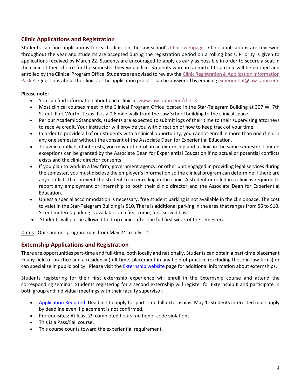## <span id="page-6-0"></span>**Clinic Applications and Registration**

Students can find applications for each clinic on the law school's [Clinic webpage.](https://law.tamu.edu/current-students/experiential-education/clinics/clinic-student-application) Clinic applications are reviewed throughout the year and students are accepted during the registration period on a rolling basis. Priority is given to applications received by March 22. Students are encouraged to apply as early as possible in order to secure a seat in the clinic of their choice for the semester they would like. Students who are admitted to a clinic will be notified and enrolled by the Clinical Program Office. Students are advised to review the Clinic Registration & Application Information [Packet.](http://law.tamu.edu/docs/default-source/registrar-documents/clinics-application-registration-packet.pdf?sfvrsn=2) Questions about the clinics or the application process can be answered by emailing [experiential@law.tamu.edu](mailto:experiential@law.tamu.edu)

#### **Please note:**

- You can find information about each clinic at [www.law.tamu.edu/clinics.](http://www.law.tamu.edu/clinics)
- Most clinical courses meet in the Clinical Program Office located in the Star-Telegram Building at 307 W. 7th Street, Fort Worth, Texas. It is a 0.6 mile walk from the Law School building to the clinical space.
- Per our Academic Standards, students are expected to submit logs of their time to their supervising attorneys to receive credit. Your instructor will provide you with direction of how to keep track of your time.
- In order to provide all of our students with a clinical opportunity, you cannot enroll in more than one clinic in any one semester without the consent of the Associate Dean for Experiential Education.
- To avoid conflicts of interests, you may not enroll in an externship and a clinic in the same semester. Limited exceptions can be granted by the Associate Dean for Experiential Education if no actual or potential conflicts exists and the clinic director consents.
- If you plan to work in a law firm, government agency, or other unit engaged in providing legal services during the semester, you must disclose the employer's information so the clinical program can determine if there are any conflicts that prevent the student from enrolling in the clinic. A student enrolled in a clinic is required to report any employment or internship to both their clinic director and the Associate Dean for Experiential Education.
- Unless a special accommodation is necessary, free student parking is not available in the clinic space. The cost to valet in the Star-Telegram Building is \$10. There is additional parking in the area that ranges from \$6 to \$10. Street metered parking is available on a first-come, first-served basis.
- Students will not be allowed to drop clinics after the full first week of the semester**.**

Dates: Our summer program runs from May 24 to July 12.

#### <span id="page-6-1"></span>**Externship Applications and Registration**

There are opportunities part-time and full-time, both locally and nationally. Students can obtain a part-time placement in any field of practice and a residency (full-time) placement in any field of practice (excluding those in law firms) or can specialize in public policy. Please visit the [Externship website](https://law.tamu.edu/current-students/experiential-education/externship-programs2) page for additional information about externships.

Students registering for their first externship experience will enroll in the Externship course and attend the corresponding seminar. Students registering for a second externship will register for Externship II and participate in both group and individual meetings with their faculty supervisor.

- [Application Required.](https://law.tamu.edu/current-students/academics/centers-clinics-programs/externship-program/general-externship-program/application-process-apply/application) Deadline to apply for part-time fall externships: May 1. Students interested must apply by deadline even if placement is not confirmed.
- Prerequisites: At least 29 completed hours; no honor code violations.
- This is a Pass/Fail course.
- This course counts toward the experiential requirement.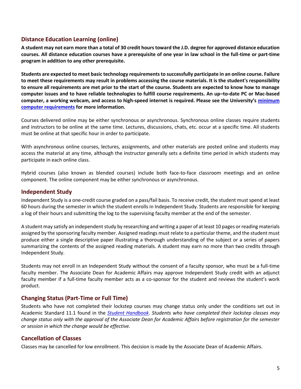## <span id="page-7-0"></span>**Distance Education Learning (online)**

**A student may not earn more than a total of 30 credit hours toward the J.D. degree for approved distance education courses. All distance education courses have a prerequisite of one year in law school in the full-time or part-time program in addition to any other prerequisite.**

**Students are expected to meet basic technology requirements to successfully participate in an online course. Failure to meet these requirements may result in problems accessing the course materials. It is the student's responsibility to ensure all requirements are met prior to the start of the course. Students are expected to know how to manage computer issues and to have reliable technologies to fulfill course requirements. An up–to-date PC or Mac-based computer, a working webcam, and access to high-speed internet is required. Please see the University's [minimum](https://it.tamu.edu/services/academics-and-research/teaching-and-learning-tools/computer-requirements/)  [computer requirements](https://it.tamu.edu/services/academics-and-research/teaching-and-learning-tools/computer-requirements/) for more information.**

Courses delivered online may be either synchronous or asynchronous. Synchronous online classes require students and instructors to be online at the same time. Lectures, discussions, chats, etc. occur at a specific time. All students must be online at that specific hour in order to participate.

With asynchronous online courses, lectures, assignments, and other materials are posted online and students may access the material at any time, although the instructor generally sets a definite time period in which students may participate in each online class.

Hybrid courses (also known as blended courses) include both face-to-face classroom meetings and an online component. The online component may be either synchronous or asynchronous.

#### <span id="page-7-1"></span>**Independent Study**

Independent Study is a one-credit course graded on a pass/fail basis. To receive credit, the student must spend at least 60 hours during the semester in which the student enrolls in Independent Study. Students are responsible for keeping a log of their hours and submitting the log to the supervising faculty member at the end of the semester.

A student may satisfy an independent study by researching and writing a paper of at least 10 pages or reading materials assigned by the sponsoring faculty member. Assigned readings must relate to a particular theme, and the student must produce either a single descriptive paper illustrating a thorough understanding of the subject or a series of papers summarizing the contents of the assigned reading materials. A student may earn no more than two credits through Independent Study.

Students may not enroll in an Independent Study without the consent of a faculty sponsor, who must be a full-time faculty member. The Associate Dean for Academic Affairs may approve Independent Study credit with an adjunct faculty member if a full-time faculty member acts as a co-sponsor for the student and reviews the student's work product.

#### <span id="page-7-2"></span>**Changing Status (Part-Time or Full Time)**

Students who have not completed their lockstep courses may change status only under the conditions set out in Academic Standard 11.1 found in the *[Student Handbook](http://law.tamu.edu/docs/default-source/current-students/Student-Handbook-15-16-8feb16.pdf?sfvrsn=2)*. *Students who have completed their lockstep classes may change status only with the approval of the Associate Dean for Academic Affairs before registration for the semester or session in which the change would be effective.*

#### <span id="page-7-3"></span>**Cancellation of Classes**

Classes may be cancelled for low enrollment. This decision is made by the Associate Dean of Academic Affairs.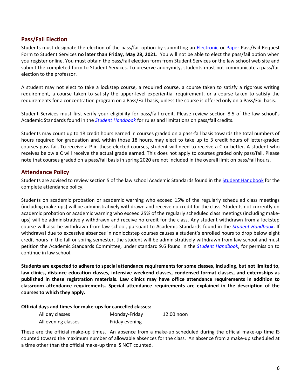## <span id="page-8-0"></span>**Pass/Fail Election**

Students must designate the election of the pass/fail option by submitting an [Electronic](http://law.tamu.edu/Resources/StudentResources/Pass-FailRequest.aspx) or [Paper](http://law.tamu.edu/docs/default-source/registrar-documents/pass-fail-form_fillable.pdf?sfvrsn=6) Pass/Fail Request Form to Student Services **no later than Friday, May 28, 2021**. You will not be able to elect the pass/fail option when you register online. You must obtain the pass/fail election form from Student Services or the law school web site and submit the completed form to Student Services. To preserve anonymity, students must not communicate a pass/fail election to the professor.

A student may not elect to take a lockstep course, a required course, a course taken to satisfy a rigorous writing requirement, a course taken to satisfy the upper-level experiential requirement, or a course taken to satisfy the requirements for a concentration program on a Pass/Fail basis, unless the course is offered only on a Pass/Fail basis.

Student Services must first verify your eligibility for pass/fail credit. Please review section 8.5 of the law school's Academic Standards found in the *[Student Handbook](http://law.tamu.edu/docs/default-source/current-students/Student-Handbook-15-16-8feb16.pdf?sfvrsn=2)* for rules and limitations on pass/fail credits.

Students may count up to 18 credit hours earned in courses graded on a pass-fail basis towards the total numbers of hours required for graduation and, within those 18 hours, may elect to take up to 3 credit hours of letter-graded courses pass-fail. To receive a P in these elected courses, student will need to receive a C or better. A student who receives below a C will receive the actual grade earned. This does not apply to courses graded only pass/fail. Please note that courses graded on a pass/fail basis in spring 2020 are not included in the overall limit on pass/fail hours.

#### <span id="page-8-1"></span>**Attendance Policy**

Students are advised to review section 5 of the law school Academic Standards found in th[e Student Handbook](http://law.tamu.edu/docs/default-source/current-students/Student-Handbook-2020-2021-8-14-20.pdf?sfvrsn=2) for the complete attendance policy.

Students on academic probation or academic warning who exceed 15% of the regularly scheduled class meetings (including make-ups) will be administratively withdrawn and receive no credit for the class. Students not currently on academic probation or academic warning who exceed 25% of the regularly scheduled class meetings (including makeups) will be administratively withdrawn and receive no credit for the class. Any student withdrawn from a lockstep course will also be withdrawn from law school, pursuant to Academic Standards found in the *[Student Handbook](http://law.tamu.edu/docs/default-source/current-students/Student-Handbook-15-16-8feb16.pdf?sfvrsn=2)*. If withdrawal due to excessive absences in nonlockstep courses causes a student's enrolled hours to drop below eight credit hours in the fall or spring semester, the student will be administratively withdrawn from law school and must petition the Academic Standards Committee, under standard 9.6 found in the *[Student Handbook](http://law.tamu.edu/docs/default-source/current-students/Student-Handbook-15-16-8feb16.pdf?sfvrsn=2)*, for permission to continue in law school.

**Students are expected to adhere to special attendance requirements for some classes, including, but not limited to, law clinics, distance education classes, intensive weekend classes, condensed format classes, and externships as published in these registration materials. Law clinics may have office attendance requirements in addition to classroom attendance requirements. Special attendance requirements are explained in the description of the courses to which they apply.**

#### **Official days and times for make-ups for cancelled classes:**

| All day classes     | Monday-Friday  | 12:00 noon |
|---------------------|----------------|------------|
| All evening classes | Friday evening |            |

These are the official make-up times. An absence from a make-up scheduled during the official make-up time IS counted toward the maximum number of allowable absences for the class. An absence from a make-up scheduled at a time other than the official make-up time IS NOT counted.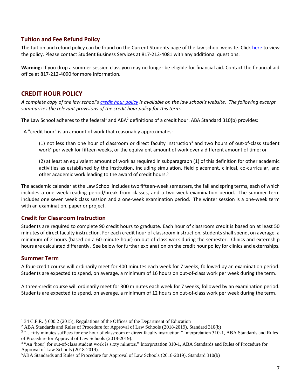## <span id="page-9-0"></span>**Tuition and Fee Refund Policy**

The tuition and refund policy can be found on the Current Students page of the law school website. Click [here](http://law.tamu.edu/current-students/financial-aid/tuition) to view the policy. Please contact Student Business Services at 817-212-4081 with any additional questions.

**Warning:** If you drop a summer session class you may no longer be eligible for financial aid. Contact the financial aid office at 817-212-4090 for more information.

## <span id="page-9-1"></span>**CREDIT HOUR POLICY**

*A complete copy of the law school's [credit hour policy](http://law.tamu.edu/docs/default-source/registrar-documents/credit-hour-policy-revised-jan2019.pdf) is available on the law school's website. The following excerpt summarizes the relevant provisions of the credit hour policy for this term.*

The Law School adheres to the federal<sup>1</sup> and ABA<sup>2</sup> definitions of a credit hour. ABA Standard 310(b) provides:

A "credit hour" is an amount of work that reasonably approximates:

(1) not less than one hour of classroom or direct faculty instruction<sup>3</sup> and two hours of out-of-class student work<sup>4</sup> per week for fifteen weeks, or the equivalent amount of work over a different amount of time; or

(2) at least an equivalent amount of work as required in subparagraph (1) of this definition for other academic activities as established by the institution, including simulation, field placement, clinical, co-curricular, and other academic work leading to the award of credit hours.<sup>5</sup>

The academic calendar at the Law School includes two fifteen-week semesters, the fall and spring terms, each of which includes a one week reading period/break from classes, and a two-week examination period. The summer term includes one seven week class session and a one-week examination period. The winter session is a one-week term with an examination, paper or project.

#### <span id="page-9-2"></span>**Credit for Classroom Instruction**

Students are required to complete 90 credit hours to graduate. Each hour of classroom credit is based on at least 50 minutes of direct faculty instruction. For each credit hour of classroom instruction, students shall spend, on average, a minimum of 2 hours (based on a 60-minute hour) on out-of-class work during the semester. Clinics and externship hours are calculated differently. See below for further explanation on the credit hour policy for clinics and externships.

#### <span id="page-9-3"></span>**Summer Term**

 $\overline{a}$ 

A four-credit course will ordinarily meet for 400 minutes each week for 7 weeks, followed by an examination period. Students are expected to spend, on average, a minimum of 16 hours on out-of-class work per week during the term.

A three-credit course will ordinarily meet for 300 minutes each week for 7 weeks, followed by an examination period. Students are expected to spend, on average, a minimum of 12 hours on out-of-class work per week during the term.

<sup>1</sup> 34 C.F.R. § 600.2 (2015), Regulations of the Offices of the Department of Education

<sup>2</sup> ABA Standards and Rules of Procedure for Approval of Law Schools (2018-2019), Standard 310(b)

<sup>&</sup>lt;sup>3</sup> "... fifty minutes suffices for one hour of classroom or direct faculty instruction." Interpretation 310-1, ABA Standards and Rules of Procedure for Approval of Law Schools (2018-2019).

<sup>&</sup>lt;sup>4</sup> "An 'hour' for out-of-class student work is sixty minutes." Interpretation 310-1, ABA Standards and Rules of Procedure for Approval of Law Schools (2018-2019).

<sup>5</sup>ABA Standards and Rules of Procedure for Approval of Law Schools (2018-2019), Standard 310(b)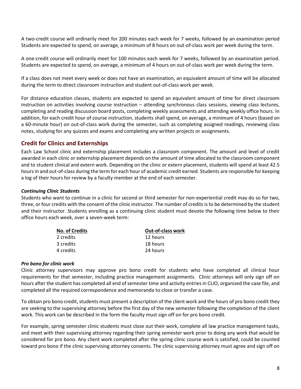A two-credit course will ordinarily meet for 200 minutes each week for 7 weeks, followed by an examination period Students are expected to spend, on average, a minimum of 8 hours on out-of-class work per week during the term.

A one-credit course will ordinarily meet for 100 minutes each week for 7 weeks, followed by an examination period. Students are expected to spend, on average, a minimum of 4 hours on out-of-class work per week during the term.

If a class does not meet every week or does not have an examination, an equivalent amount of time will be allocated during the term to direct classroom instruction and student out-of-class work per week.

For distance education classes, students are expected to spend an equivalent amount of time for direct classroom instruction on activities involving course instruction – attending synchronous class sessions, viewing class lectures, completing and reading discussion board posts, completing weekly assessments and attending weekly office hours. In addition, for each credit hour of course instruction, students shall spend, on average, a minimum of 4 hours (based on a 60-minute hour) on out-of-class work during the semester, such as completing assigned readings, reviewing class notes, studying for any quizzes and exams and completing any written projects or assignments.

#### <span id="page-10-0"></span>**Credit for Clinics and Externships**

Each Law School clinic and externship placement includes a classroom component. The amount and level of credit awarded in each clinic or externship placement depends on the amount of time allocated to the classroom component and to student clinical and extern work. Depending on the clinic or extern placement, students will spend at least 42.5 hours in and out-of-class during the term for each hour of academic credit earned. Students are responsible for keeping a log of their hours for review by a faculty member at the end of each semester.

#### *Continuing Clinic Students*

Students who want to continue in a clinic for second or third semester for non-experiential credit may do so for two, three, or four credits with the consent of the clinic instructor. The number of credits is to be determined by the student and their instructor. Students enrolling as a continuing clinic student must devote the following time below to their office hours each week, over a seven-week term:

| <b>No. of Credits</b> | <b>Out-of-class work</b> |  |
|-----------------------|--------------------------|--|
| 2 credits             | 12 hours                 |  |
| 3 credits             | 18 hours                 |  |
| 4 credits             | 24 hours                 |  |

#### *Pro bono for clinic work*

Clinic attorney supervisors may approve pro bono credit for students who have completed all clinical hour requirements for that semester, including practice management assignments. Clinic attorneys will only sign off on hours after the student has completed all end of semester time and activity entries in CLIO, organized the case file, and completed all the required correspondence and memoranda to close or transfer a case.

To obtain pro bono credit, students must present a description of the client work and the hours of pro bono credit they are seeking to the supervising attorney before the first day of the new semester following the completion of the client work. This work can be described in the form the faculty must sign off on for pro bono credit.

For example, spring semester clinic students must close out their work, complete all law practice management tasks, and meet with their supervising attorney regarding their spring semester work prior to doing any work that would be considered for pro bono. Any client work completed after the spring clinic course work is satisfied, could be counted toward pro bono if the clinic supervising attorney consents. The clinic supervising attorney must agree and sign off on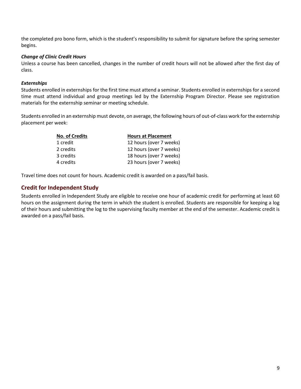the completed pro bono form, which is the student's responsibility to submit for signature before the spring semester begins.

#### *Change of Clinic Credit Hours*

Unless a course has been cancelled, changes in the number of credit hours will not be allowed after the first day of class.

#### *Externships*

Students enrolled in externships for the first time must attend a seminar. Students enrolled in externships for a second time must attend individual and group meetings led by the Externship Program Director. Please see registration materials for the externship seminar or meeting schedule.

Students enrolled in an externship must devote, on average, the following hours of out-of-class work for the externship placement per week:

| <b>Hours at Placement</b> |  |
|---------------------------|--|
| 12 hours (over 7 weeks)   |  |
| 12 hours (over 7 weeks)   |  |
| 18 hours (over 7 weeks)   |  |
| 23 hours (over 7 weeks)   |  |
|                           |  |

<span id="page-11-0"></span>Travel time does not count for hours. Academic credit is awarded on a pass/fail basis.

#### **Credit for Independent Study**

Students enrolled in Independent Study are eligible to receive one hour of academic credit for performing at least 60 hours on the assignment during the term in which the student is enrolled. Students are responsible for keeping a log of their hours and submitting the log to the supervising faculty member at the end of the semester. Academic credit is awarded on a pass/fail basis.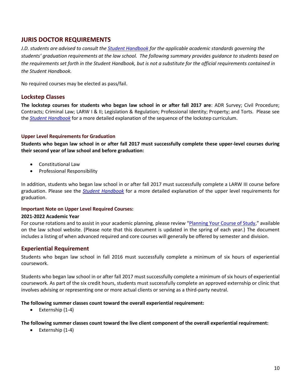## <span id="page-12-0"></span>**JURIS DOCTOR REQUIREMENTS**

*J.D. students are advised to consult the [Student Handbook](http://law.tamu.edu/docs/default-source/current-students/Student-Handbook-2016-17.pdf?sfvrsn=2) for the applicable academic standards governing the students' graduation requirements at the law school. The following summary provides guidance to students based on the requirements set forth in the Student Handbook, but is not a substitute for the official requirements contained in the Student Handbook.*

No required courses may be elected as pass/fail.

#### <span id="page-12-1"></span>**Lockstep Classes**

**The lockstep courses for students who began law school in or after fall 2017 are**: ADR Survey; Civil Procedure; Contracts; Criminal Law; LARW I & II; Legislation & Regulation; Professional Identity; Property; and Torts. Please see the *[Student Handbook](http://law.tamu.edu/docs/default-source/current-students/Student-Handbook-2017-18-8nov17.pdf)* for a more detailed explanation of the sequence of the lockstep curriculum.

#### <span id="page-12-2"></span>**Upper Level Requirements for Graduation**

**Students who began law school in or after fall 2017 must successfully complete these upper-level courses during their second year of law school and before graduation:**

- Constitutional Law
- **•** Professional Responsibility

In addition, students who began law school in or after fall 2017 must successfully complete a LARW III course before graduation. Please see the *[Student Handbook](http://law.tamu.edu/docs/default-source/current-students/Student-Handbook-2017-18-8nov17.pdf)* for a more detailed explanation of the upper level requirements for graduation.

#### <span id="page-12-3"></span>**Important Note on Upper Level Required Courses:**

#### **2021-2022 Academic Year**

For course rotations and to assist in your academic planning, please review "[Planning Your Course of Study](http://law.tamu.edu/current-students/academics/planning-your-course-of-study)," available on the law school website. (Please note that this document is updated in the spring of each year.) The document includes a listing of when advanced required and core courses will generally be offered by semester and division.

#### <span id="page-12-4"></span>**Experiential Requirement**

Students who began law school in fall 2016 must successfully complete a minimum of six hours of experiential coursework.

Students who began law school in or after fall 2017 must successfully complete a minimum of six hours of experiential coursework. As part of the six credit hours, students must successfully complete an approved externship or clinic that involves advising or representing one or more actual clients or serving as a third-party neutral.

#### **The following summer classes count toward the overall experiential requirement:**

 $\bullet$  Externship (1-4)

#### **The following summer classes count toward the live client component of the overall experiential requirement:**

 $\bullet$  Externship (1-4)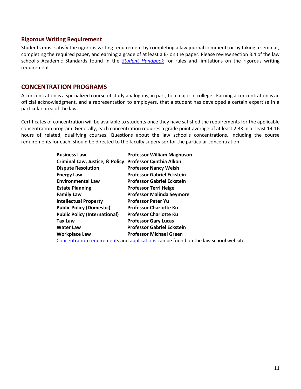#### <span id="page-13-0"></span>**Rigorous Writing Requirement**

Students must satisfy the rigorous writing requirement by completing a law journal comment; or by taking a seminar, completing the required paper, and earning a grade of at least a B- on the paper. Please review section 3.4 of the law school's Academic Standards found in the *[Student Handbook](http://law.tamu.edu/docs/default-source/current-students/Student-Handbook-15-16-8feb16.pdf?sfvrsn=2)* for rules and limitations on the rigorous writing requirement.

## <span id="page-13-1"></span>**CONCENTRATION PROGRAMS**

A concentration is a specialized course of study analogous, in part, to a major in college. Earning a concentration is an official acknowledgment, and a representation to employers, that a student has developed a certain expertise in a particular area of the law.

Certificates of concentration will be available to students once they have satisfied the requirements for the applicable concentration program. Generally, each concentration requires a grade point average of at least 2.33 in at least 14-16 hours of related, qualifying courses. Questions about the law school's concentrations, including the course requirements for each, should be directed to the faculty supervisor for the particular concentration:

| <b>Business Law</b>                        | <b>Professor William Magnuson</b>                                                   |
|--------------------------------------------|-------------------------------------------------------------------------------------|
| <b>Criminal Law, Justice, &amp; Policy</b> | <b>Professor Cynthia Alkon</b>                                                      |
| <b>Dispute Resolution</b>                  | <b>Professor Nancy Welsh</b>                                                        |
| <b>Energy Law</b>                          | <b>Professor Gabriel Eckstein</b>                                                   |
| <b>Environmental Law</b>                   | <b>Professor Gabriel Eckstein</b>                                                   |
| <b>Estate Planning</b>                     | <b>Professor Terri Helge</b>                                                        |
| <b>Family Law</b>                          | <b>Professor Malinda Seymore</b>                                                    |
| <b>Intellectual Property</b>               | <b>Professor Peter Yu</b>                                                           |
| <b>Public Policy (Domestic)</b>            | <b>Professor Charlotte Ku</b>                                                       |
| <b>Public Policy (International)</b>       | <b>Professor Charlotte Ku</b>                                                       |
| <b>Tax Law</b>                             | <b>Professor Gary Lucas</b>                                                         |
| <b>Water Law</b>                           | <b>Professor Gabriel Eckstein</b>                                                   |
| <b>Workplace Law</b>                       | <b>Professor Michael Green</b>                                                      |
|                                            | Concentration requirements and applications can be found on the law school website. |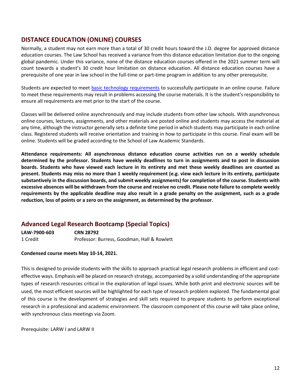## <span id="page-14-0"></span>**DISTANCE EDUCATION (ONLINE) COURSES**

Normally, a student may not earn more than a total of 30 credit hours toward the J.D. degree for approved distance education courses. The Law School has received a variance from this distance education limitation due to the ongoing global pandemic. Under this variance, none of the distance education courses offered in the 2021 summer term will count towards a student's 30 credit hour limitation on distance education. All distance education courses have a prerequisite of one year in law school in the full-time or part-time program in addition to any other prerequisite.

Students are expected to meet [basic technology requirements](https://it.tamu.edu/services/academics-and-research/teaching-and-learning-tools/computer-requirements/) to successfully participate in an online course. Failure to meet these requirements may result in problems accessing the course materials. It is the student's responsibility to ensure all requirements are met prior to the start of the course.

Classes will be delivered online asynchronously and may include students from other law schools. With asynchronous online courses, lectures, assignments, and other materials are posted online and students may access the material at any time, although the instructor generally sets a definite time period in which students may participate in each online class. Registered students will receive orientation and training in how to participate in this course. Final exam will be online. Students will be graded according to the School of Law Academic Standards.

**Attendance requirements: All asynchronous distance education course activities run on a weekly schedule determined by the professor. Students have weekly deadlines to turn in assignments and to post in discussion boards. Students who have viewed each lecture in its entirety and met these weekly deadlines are counted as present. Students may miss no more than 1 weekly requirement (e.g. view each lecture in its entirety, participate substantively in the discussion boards, and submit weekly assignments) for completion of the course. Students with excessive absences will be withdrawn from the course and receive no credit. Please note failure to complete weekly requirements by the applicable deadline may also result in a grade penalty on the assignment, such as a grade reduction, loss of points or a zero on the assignment, as determined by the professor.**

## **Advanced Legal Research Bootcamp (Special Topics)**

| LAW-7900-603 | <b>CRN 28792</b>                            |
|--------------|---------------------------------------------|
| 1 Credit     | Professor: Burress, Goodman, Hall & Rowlett |

#### **Condensed course meets May 10-14, 2021.**

This is designed to provide students with the skills to approach practical legal research problems in efficient and costeffective ways. Emphasis will be placed on research strategy, accompanied by a solid understanding of the appropriate types of research resources critical in the exploration of legal issues. While both print and electronic sources will be used, the most efficient sources will be highlighted for each type of research problem explored. The fundamental goal of this course is the development of strategies and skill sets required to prepare students to perform exceptional research in a professional and academic environment. The classroom component of this course will take place online, with synchronous class meetings via Zoom.

Prerequisite: LARW I and LARW II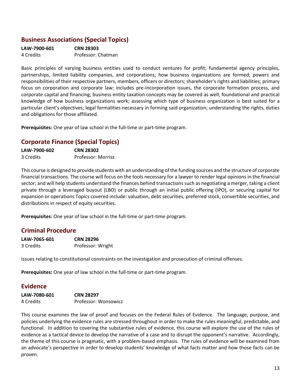## **Business Associations (Special Topics)**

| LAW-7900-601 | <b>CRN 28303</b>   |
|--------------|--------------------|
| 4 Credits    | Professor: Chatman |

Basic principles of varying business entities used to conduct ventures for profit; fundamental agency principles, partnerships, limited liability companies, and corporations; how business organizations are formed; powers and responsibilities of their respective partners, members, officers or directors; shareholder's rights and liabilities; primary focus on corporation and corporate law; includes pre-incorporation issues, the corporate formation process, and corporate capital and financing; business entity taxation concepts may be covered as well; foundational and practical knowledge of how business organizations work; assessing which type of business organization is best suited for a particular client's objectives; legal formalities necessary in forming said organization; understanding the rights, duties and obligations for those affiliated.

**Prerequisites:** One year of law school in the full-time or part-time program.

## **Corporate Finance (Special Topics)**

| LAW-7900-602 | <b>CRN 28302</b>   |
|--------------|--------------------|
| 3 Credits    | Professor: Morriss |

This course is designed to provide students with an understanding of the funding sources and the structure of corporate financial transactions. The course will focus on the tools necessary for a lawyer to render legal opinions in the financial sector; and will help students understand the finances behind transactions such as negotiating a merger, taking a client private through a leveraged buyout (LBO) or public through an initial public offering (IPO), or securing capital for expansion or operations Topics covered include: valuation, debt securities, preferred stock, convertible securities, and distributions in respect of equity securities.

**Prerequisites:** One year of law school in the full-time or part-time program.

## **Criminal Procedure**

| LAW-7065-601 | <b>CRN 28296</b>  |
|--------------|-------------------|
| 3 Credits    | Professor: Wright |

Issues relating to constitutional constraints on the investigation and prosecution of criminal offenses.

**Prerequisites:** One year of law school in the full-time or part-time program.

#### **Evidence**

| LAW-7080-601 | <b>CRN 28297</b>     |
|--------------|----------------------|
| 4 Credits    | Professor: Wonsowicz |

This course examines the law of proof and focuses on the Federal Rules of Evidence. The language, purpose, and policies underlying the evidence rules are stressed throughout in order to make the rules meaningful, predictable, and functional. In addition to covering the substantive rules of evidence, this course will explore the use of the rules of evidence as a tactical device to develop the narrative of a case and to disrupt the opponent's narrative. Accordingly, the theme of this course is pragmatic, with a problem-based emphasis. The rules of evidence will be examined from an advocate's perspective in order to develop students' knowledge of what facts matter and how those facts can be proven.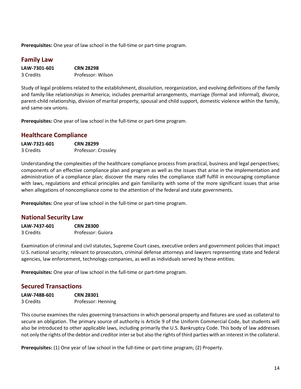**Prerequisites:** One year of law school in the full-time or part-time program.

## **Family Law**

| LAW-7301-601 | <b>CRN 28298</b>  |  |  |  |  |
|--------------|-------------------|--|--|--|--|
| 3 Credits    | Professor: Wilson |  |  |  |  |

Study of legal problems related to the establishment, dissolution, reorganization, and evolving definitions of the family and family-like relationships in America; includes premarital arrangements, marriage (formal and informal), divorce, parent-child relationship, division of marital property, spousal and child support, domestic violence within the family, and same-sex unions.

**Prerequisites:** One year of law school in the full-time or part-time program.

#### **Healthcare Compliance**

| LAW-7321-601 | <b>CRN 28299</b>    |  |  |  |
|--------------|---------------------|--|--|--|
| 3 Credits    | Professor: Crossley |  |  |  |

Understanding the complexities of the healthcare compliance process from practical, business and legal perspectives; components of an effective compliance plan and program as well as the issues that arise in the implementation and administration of a compliance plan; discover the many roles the compliance staff fulfill in encouraging compliance with laws, regulations and ethical principles and gain familiarity with some of the more significant issues that arise when allegations of noncompliance come to the attention of the federal and state governments.

**Prerequisites:** One year of law school in the full-time or part-time program.

#### **National Security Law**

| LAW-7437-601 | <b>CRN 28300</b>  |  |  |  |  |
|--------------|-------------------|--|--|--|--|
| 3 Credits    | Professor: Guiora |  |  |  |  |

Examination of criminal and civil statutes, Supreme Court cases, executive orders and government policies that impact U.S. national security; relevant to prosecutors, criminal defense attorneys and lawyers representing state and federal agencies, law enforcement, technology companies, as well as individuals served by these entities.

**Prerequisites:** One year of law school in the full-time or part-time program.

## **Secured Transactions**

| LAW-7488-601 | <b>CRN 28301</b>   |
|--------------|--------------------|
| 3 Credits    | Professor: Henning |

This course examines the rules governing transactions in which personal property and fixtures are used as collateral to secure an obligation. The primary source of authority is Article 9 of the Uniform Commercial Code, but students will also be introduced to other applicable laws, including primarily the U.S. Bankruptcy Code. This body of law addresses not only the rights of the debtor and creditor inter se but also the rights of third parties with an interest in the collateral.

**Prerequisites:** (1) One year of law school in the full-time or part-time program; (2) Property.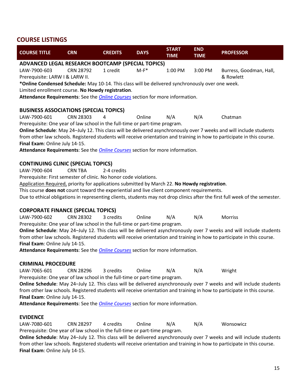## <span id="page-17-0"></span>**COURSE LISTINGS**

| <b>COURSE TITLE</b>                                                                                                                                                                                | <b>CRN</b>       | <b>CREDITS</b> | <b>DAYS</b> | <b>START</b><br><b>TIME</b> | <b>END</b><br><b>TIME</b> | <b>PROFESSOR</b>                                                                                                             |
|----------------------------------------------------------------------------------------------------------------------------------------------------------------------------------------------------|------------------|----------------|-------------|-----------------------------|---------------------------|------------------------------------------------------------------------------------------------------------------------------|
| ADVANCED LEGAL RESEARCH BOOTCAMP (SPECIAL TOPICS)                                                                                                                                                  |                  |                |             |                             |                           |                                                                                                                              |
| LAW-7900-603                                                                                                                                                                                       | <b>CRN 28792</b> | 1 credit       | $M-F^*$     | 1:00 PM                     | 3:00 PM                   | Burress, Goodman, Hall,                                                                                                      |
| Prerequisite: LARW I & LARW II.                                                                                                                                                                    |                  |                |             |                             |                           | & Rowlett                                                                                                                    |
| *Online Condensed Schedule: May 10-14. This class will be delivered synchronously over one week.                                                                                                   |                  |                |             |                             |                           |                                                                                                                              |
| Limited enrollment course. No Howdy registration.                                                                                                                                                  |                  |                |             |                             |                           |                                                                                                                              |
| Attendance Requirements: See the <b>Online Courses</b> section for more information.                                                                                                               |                  |                |             |                             |                           |                                                                                                                              |
| <b>BUSINESS ASSOCIATIONS (SPECIAL TOPICS)</b>                                                                                                                                                      |                  |                |             |                             |                           |                                                                                                                              |
| LAW-7900-601                                                                                                                                                                                       | <b>CRN 28303</b> | 4              | Online      | N/A                         | N/A                       | Chatman                                                                                                                      |
| Prerequisite: One year of law school in the full-time or part-time program.                                                                                                                        |                  |                |             |                             |                           |                                                                                                                              |
|                                                                                                                                                                                                    |                  |                |             |                             |                           | Online Schedule: May 24-July 12. This class will be delivered asynchronously over 7 weeks and will include students          |
|                                                                                                                                                                                                    |                  |                |             |                             |                           | from other law schools. Registered students will receive orientation and training in how to participate in this course.      |
| Final Exam: Online July 14-15.                                                                                                                                                                     |                  |                |             |                             |                           |                                                                                                                              |
| Attendance Requirements: See the Online Courses section for more information.                                                                                                                      |                  |                |             |                             |                           |                                                                                                                              |
| <b>CONTINUING CLINIC (SPECIAL TOPICS)</b>                                                                                                                                                          |                  |                |             |                             |                           |                                                                                                                              |
| LAW-7900-604                                                                                                                                                                                       | <b>CRN TBA</b>   | 2-4 credits    |             |                             |                           |                                                                                                                              |
| Prerequisite: First semester of clinic. No honor code violations.                                                                                                                                  |                  |                |             |                             |                           |                                                                                                                              |
| Application Required, priority for applications submitted by March 22. No Howdy registration.                                                                                                      |                  |                |             |                             |                           |                                                                                                                              |
| This course does not count toward the experiential and live client component requirements.                                                                                                         |                  |                |             |                             |                           |                                                                                                                              |
|                                                                                                                                                                                                    |                  |                |             |                             |                           | Due to ethical obligations in representing clients, students may not drop clinics after the first full week of the semester. |
| <b>CORPORATE FINANCE (SPECIAL TOPICS)</b>                                                                                                                                                          |                  |                |             |                             |                           |                                                                                                                              |
| LAW-7900-602                                                                                                                                                                                       | <b>CRN 28302</b> | 3 credits      | Online      | N/A                         | N/A                       | Morriss                                                                                                                      |
| Prerequisite: One year of law school in the full-time or part-time program.                                                                                                                        |                  |                |             |                             |                           |                                                                                                                              |
|                                                                                                                                                                                                    |                  |                |             |                             |                           | Online Schedule: May 24-July 12. This class will be delivered asynchronously over 7 weeks and will include students          |
|                                                                                                                                                                                                    |                  |                |             |                             |                           | from other law schools. Registered students will receive orientation and training in how to participate in this course.      |
| Final Exam: Online July 14-15.                                                                                                                                                                     |                  |                |             |                             |                           |                                                                                                                              |
| Attendance Requirements: See the Online Courses section for more information.                                                                                                                      |                  |                |             |                             |                           |                                                                                                                              |
| <b>CRIMINAL PROCEDURE</b>                                                                                                                                                                          |                  |                |             |                             |                           |                                                                                                                              |
| LAW-7065-601                                                                                                                                                                                       | <b>CRN 28296</b> | 3 credits      | Online      | N/A                         | N/A                       | Wright                                                                                                                       |
| Prerequisite: One year of law school in the full-time or part-time program.                                                                                                                        |                  |                |             |                             |                           |                                                                                                                              |
|                                                                                                                                                                                                    |                  |                |             |                             |                           | Online Schedule: May 24-July 12. This class will be delivered asynchronously over 7 weeks and will include students          |
|                                                                                                                                                                                                    |                  |                |             |                             |                           | from other law schools. Registered students will receive orientation and training in how to participate in this course.      |
| Final Exam: Online July 14-15.                                                                                                                                                                     |                  |                |             |                             |                           |                                                                                                                              |
| Attendance Requirements: See the <b>Online Courses</b> section for more information.                                                                                                               |                  |                |             |                             |                           |                                                                                                                              |
| <b>EVIDENCE</b>                                                                                                                                                                                    |                  |                |             |                             |                           |                                                                                                                              |
| LAW-7080-601                                                                                                                                                                                       | <b>CRN 28297</b> | 4 credits      | Online      | N/A                         | N/A                       | Wonsowicz                                                                                                                    |
|                                                                                                                                                                                                    |                  |                |             |                             |                           |                                                                                                                              |
| Prerequisite: One year of law school in the full-time or part-time program.<br>Online Schedule: May 24-July 12. This class will be delivered asynchronously over 7 weeks and will include students |                  |                |             |                             |                           |                                                                                                                              |

from other law schools. Registered students will receive orientation and training in how to participate in this course. **Final Exam**: Online July 14-15.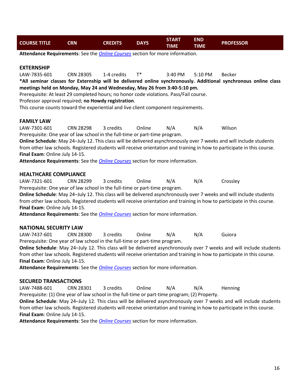| <b>DAYS</b><br><b>COURSE TITLE</b><br>CRN<br><b>CREDITS</b> | START<br>TIME | END<br><b>TIME</b> | <b>PROFESSOR</b> |
|-------------------------------------------------------------|---------------|--------------------|------------------|
|-------------------------------------------------------------|---------------|--------------------|------------------|

**Attendance Requirements**: See the *[Online Courses](#page-14-0)* section for more information.

#### **EXTERNSHIP**

LAW-7835-601 CRN 28305 1-4 credits T\* 3:40 PM 5:10 PM Becker

**\*All seminar classes for Externship will be delivered online synchronously. Additional synchronous online class meetings held on Monday, May 24 and Wednesday, May 26 from 3:40-5:10 pm.** 

Prerequisite: At least 29 completed hours; no honor code violations. Pass/Fail course.

Professor approval required; **no Howdy registration**.

This course counts toward the experiential and live client component requirements.

#### **FAMILY LAW**

LAW-7301-601 CRN 28298 3 credits Online N/A N/A Wilson Prerequisite: One year of law school in the full-time or part-time program.

**Online Schedule**: May 24–July 12. This class will be delivered asynchronously over 7 weeks and will include students from other law schools. Registered students will receive orientation and training in how to participate in this course. **Final Exam**: Online July 14-15.

**Attendance Requirements**: See the *[Online Courses](#page-14-0)* section for more information.

#### **HEALTHCARE COMPLIANCE**

LAW-7321-601 CRN 28299 3 credits Online N/A N/A Crossley Prerequisite: One year of law school in the full-time or part-time program.

**Online Schedule**: May 24–July 12. This class will be delivered asynchronously over 7 weeks and will include students from other law schools. Registered students will receive orientation and training in how to participate in this course. **Final Exam**: Online July 14-15.

**Attendance Requirements**: See the *[Online Courses](#page-14-0)* section for more information.

#### **NATIONAL SECURITY LAW**

LAW-7437-601 CRN 28300 3 credits Online N/A N/A Guiora Prerequisite: One year of law school in the full-time or part-time program.

**Online Schedule**: May 24–July 12. This class will be delivered asynchronously over 7 weeks and will include students from other law schools. Registered students will receive orientation and training in how to participate in this course. **Final Exam**: Online July 14-15.

**Attendance Requirements**: See the *[Online Courses](#page-14-0)* section for more information.

#### **SECURED TRANSACTIONS**

LAW-7488-601 CRN 28301 3 credits Online N/A N/A Henning

Prerequisite: (1) One year of law school in the full-time or part-time program; (2) Property.

**Online Schedule**: May 24–July 12. This class will be delivered asynchronously over 7 weeks and will include students from other law schools. Registered students will receive orientation and training in how to participate in this course. **Final Exam**: Online July 14-15.

**Attendance Requirements**: See the *[Online Courses](#page-14-0)* section for more information.